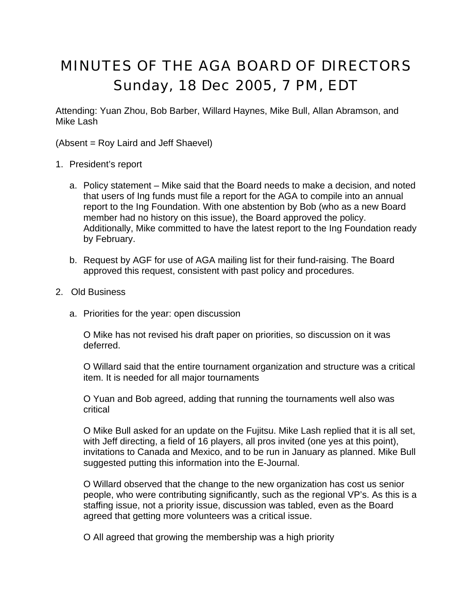## MINUTES OF THE AGA BOARD OF DIRECTORS Sunday, 18 Dec 2005, 7 PM, EDT

Attending: Yuan Zhou, Bob Barber, Willard Haynes, Mike Bull, Allan Abramson, and Mike Lash

(Absent = Roy Laird and Jeff Shaevel)

- 1. President's report
	- a. Policy statement Mike said that the Board needs to make a decision, and noted that users of Ing funds must file a report for the AGA to compile into an annual report to the Ing Foundation. With one abstention by Bob (who as a new Board member had no history on this issue), the Board approved the policy. Additionally, Mike committed to have the latest report to the Ing Foundation ready by February.
	- b. Request by AGF for use of AGA mailing list for their fund-raising. The Board approved this request, consistent with past policy and procedures.
- 2. Old Business
	- a. Priorities for the year: open discussion

O Mike has not revised his draft paper on priorities, so discussion on it was deferred.

O Willard said that the entire tournament organization and structure was a critical item. It is needed for all major tournaments

O Yuan and Bob agreed, adding that running the tournaments well also was critical

O Mike Bull asked for an update on the Fujitsu. Mike Lash replied that it is all set, with Jeff directing, a field of 16 players, all pros invited (one yes at this point), invitations to Canada and Mexico, and to be run in January as planned. Mike Bull suggested putting this information into the E-Journal.

O Willard observed that the change to the new organization has cost us senior people, who were contributing significantly, such as the regional VP's. As this is a staffing issue, not a priority issue, discussion was tabled, even as the Board agreed that getting more volunteers was a critical issue.

O All agreed that growing the membership was a high priority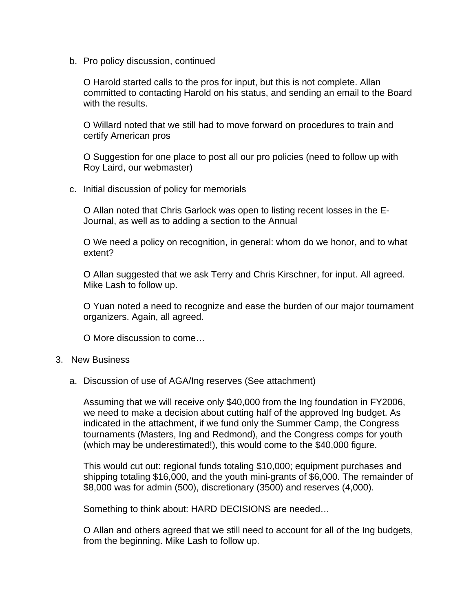b. Pro policy discussion, continued

O Harold started calls to the pros for input, but this is not complete. Allan committed to contacting Harold on his status, and sending an email to the Board with the results.

O Willard noted that we still had to move forward on procedures to train and certify American pros

O Suggestion for one place to post all our pro policies (need to follow up with Roy Laird, our webmaster)

c. Initial discussion of policy for memorials

O Allan noted that Chris Garlock was open to listing recent losses in the E-Journal, as well as to adding a section to the Annual

O We need a policy on recognition, in general: whom do we honor, and to what extent?

O Allan suggested that we ask Terry and Chris Kirschner, for input. All agreed. Mike Lash to follow up.

O Yuan noted a need to recognize and ease the burden of our major tournament organizers. Again, all agreed.

O More discussion to come…

## 3. New Business

a. Discussion of use of AGA/Ing reserves (See attachment)

Assuming that we will receive only \$40,000 from the Ing foundation in FY2006, we need to make a decision about cutting half of the approved Ing budget. As indicated in the attachment, if we fund only the Summer Camp, the Congress tournaments (Masters, Ing and Redmond), and the Congress comps for youth (which may be underestimated!), this would come to the \$40,000 figure.

This would cut out: regional funds totaling \$10,000; equipment purchases and shipping totaling \$16,000, and the youth mini-grants of \$6,000. The remainder of \$8,000 was for admin (500), discretionary (3500) and reserves (4,000).

Something to think about: HARD DECISIONS are needed…

O Allan and others agreed that we still need to account for all of the Ing budgets, from the beginning. Mike Lash to follow up.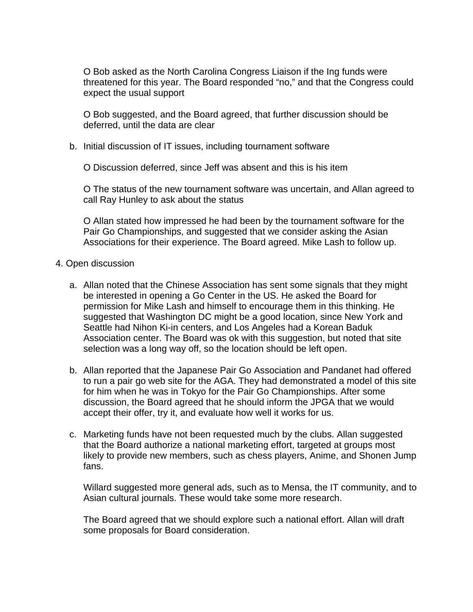O Bob asked as the North Carolina Congress Liaison if the Ing funds were threatened for this year. The Board responded "no," and that the Congress could expect the usual support

O Bob suggested, and the Board agreed, that further discussion should be deferred, until the data are clear

b. Initial discussion of IT issues, including tournament software

O Discussion deferred, since Jeff was absent and this is his item

O The status of the new tournament software was uncertain, and Allan agreed to call Ray Hunley to ask about the status

O Allan stated how impressed he had been by the tournament software for the Pair Go Championships, and suggested that we consider asking the Asian Associations for their experience. The Board agreed. Mike Lash to follow up.

## 4. Open discussion

- a. Allan noted that the Chinese Association has sent some signals that they might be interested in opening a Go Center in the US. He asked the Board for permission for Mike Lash and himself to encourage them in this thinking. He suggested that Washington DC might be a good location, since New York and Seattle had Nihon Ki-in centers, and Los Angeles had a Korean Baduk Association center. The Board was ok with this suggestion, but noted that site selection was a long way off, so the location should be left open.
- b. Allan reported that the Japanese Pair Go Association and Pandanet had offered to run a pair go web site for the AGA. They had demonstrated a model of this site for him when he was in Tokyo for the Pair Go Championships. After some discussion, the Board agreed that he should inform the JPGA that we would accept their offer, try it, and evaluate how well it works for us.
- c. Marketing funds have not been requested much by the clubs. Allan suggested that the Board authorize a national marketing effort, targeted at groups most likely to provide new members, such as chess players, Anime, and Shonen Jump fans.

Willard suggested more general ads, such as to Mensa, the IT community, and to Asian cultural journals. These would take some more research.

The Board agreed that we should explore such a national effort. Allan will draft some proposals for Board consideration.